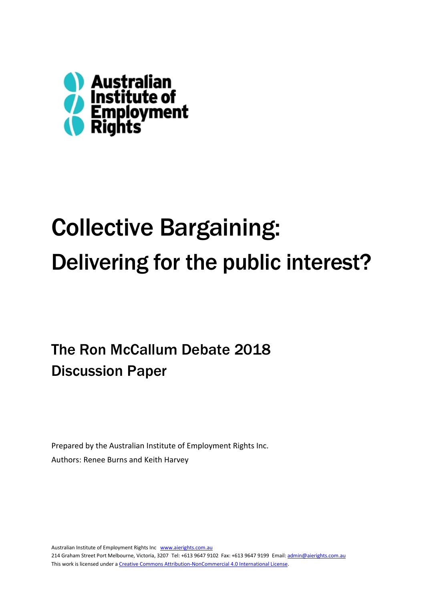

# Collective Bargaining: Delivering for the public interest?

The Ron McCallum Debate 2018 Discussion Paper

Prepared by the Australian Institute of Employment Rights Inc. Authors: Renee Burns and Keith Harvey

Australian Institute of Employment Rights Inc [www.aierights.com.au](http://www.aierights.com.au/) 214 Graham Street Port Melbourne, Victoria, 3207 Tel: +613 9647 9102 Fax: +613 9647 9199 Email[: admin@aierights.com.au](mailto:admin@aierights.com.au) This work is licensed under [a Creative Commons Attribution-NonCommercial 4.0 International License.](http://creativecommons.org/licenses/by-nc/4.0/)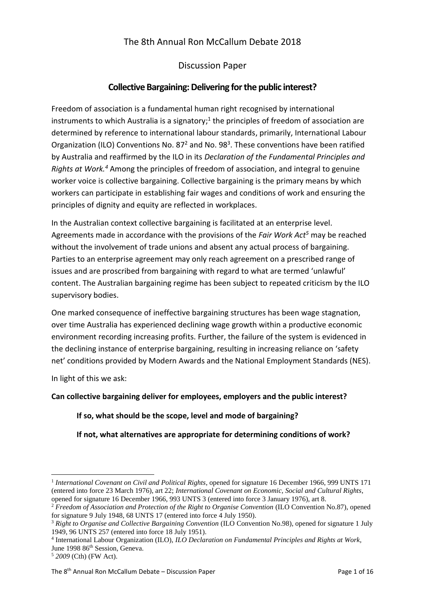# The 8th Annual Ron McCallum Debate 2018

## Discussion Paper

## **Collective Bargaining: Delivering for the public interest?**

Freedom of association is a fundamental human right recognised by international instruments to which Australia is a signatory;<sup>1</sup> the principles of freedom of association are determined by reference to international labour standards, primarily, International Labour Organization (ILO) Conventions No. 87 $2$  and No. 98 $3$ . These conventions have been ratified by Australia and reaffirmed by the ILO in its *Declaration of the Fundamental Principles and Rights at Work.<sup>4</sup>* Among the principles of freedom of association, and integral to genuine worker voice is collective bargaining. Collective bargaining is the primary means by which workers can participate in establishing fair wages and conditions of work and ensuring the principles of dignity and equity are reflected in workplaces.

In the Australian context collective bargaining is facilitated at an enterprise level. Agreements made in accordance with the provisions of the *Fair Work Act<sup>5</sup>* may be reached without the involvement of trade unions and absent any actual process of bargaining. Parties to an enterprise agreement may only reach agreement on a prescribed range of issues and are proscribed from bargaining with regard to what are termed 'unlawful' content. The Australian bargaining regime has been subject to repeated criticism by the ILO supervisory bodies.

One marked consequence of ineffective bargaining structures has been wage stagnation, over time Australia has experienced declining wage growth within a productive economic environment recording increasing profits. Further, the failure of the system is evidenced in the declining instance of enterprise bargaining, resulting in increasing reliance on 'safety net' conditions provided by Modern Awards and the National Employment Standards (NES).

In light of this we ask:

### **Can collective bargaining deliver for employees, employers and the public interest?**

### **If so, what should be the scope, level and mode of bargaining?**

### **If not, what alternatives are appropriate for determining conditions of work?**

1

<sup>1</sup> *International Covenant on Civil and Political Rights*, opened for signature 16 December 1966, 999 UNTS 171 (entered into force 23 March 1976), art 22; *International Covenant on Economic, Social and Cultural Rights*, opened for signature 16 December 1966, 993 UNTS 3 (entered into force 3 January 1976), art 8.

<sup>2</sup> *Freedom of Association and Protection of the Right to Organise Convention* (ILO Convention No.87), opened for signature 9 July 1948, 68 UNTS 17 (entered into force 4 July 1950).

<sup>3</sup> *Right to Organise and Collective Bargaining Convention* (ILO Convention No.98), opened for signature 1 July 1949, 96 UNTS 257 (entered into force 18 July 1951).

<sup>4</sup> International Labour Organization (ILO), *ILO Declaration on Fundamental Principles and Rights at Work,*  June 1998 86<sup>th</sup> Session, Geneva.

<sup>5</sup> *2009* (Cth) (FW Act).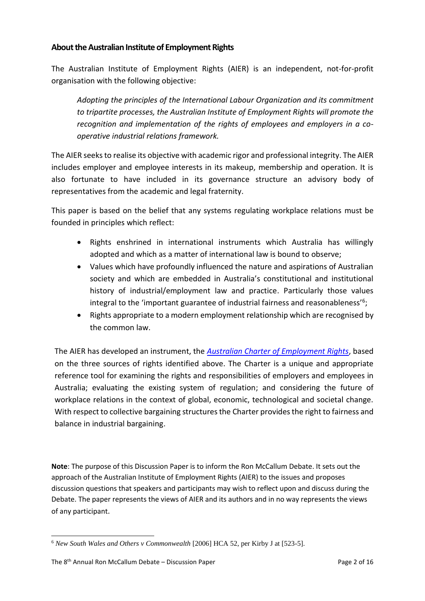## **About the Australian Institute of Employment Rights**

The Australian Institute of Employment Rights (AIER) is an independent, not-for-profit organisation with the following objective:

*Adopting the principles of the International Labour Organization and its commitment to tripartite processes, the Australian Institute of Employment Rights will promote the recognition and implementation of the rights of employees and employers in a cooperative industrial relations framework.*

The AIER seeksto realise its objective with academic rigor and professional integrity. The AIER includes employer and employee interests in its makeup, membership and operation. It is also fortunate to have included in its governance structure an advisory body of representatives from the academic and legal fraternity.

This paper is based on the belief that any systems regulating workplace relations must be founded in principles which reflect:

- Rights enshrined in international instruments which Australia has willingly adopted and which as a matter of international law is bound to observe;
- Values which have profoundly influenced the nature and aspirations of Australian society and which are embedded in Australia's constitutional and institutional history of industrial/employment law and practice. Particularly those values integral to the 'important guarantee of industrial fairness and reasonableness'<sup>6</sup>;
- Rights appropriate to a modern employment relationship which are recognised by the common law.

The AIER has developed an instrument, the *[Australian Charter of Employment Rights](http://www.aierights.com.au/resources/charter/)*, based on the three sources of rights identified above. The Charter is a unique and appropriate reference tool for examining the rights and responsibilities of employers and employees in Australia; evaluating the existing system of regulation; and considering the future of workplace relations in the context of global, economic, technological and societal change. With respect to collective bargaining structures the Charter provides the right to fairness and balance in industrial bargaining.

**Note**: The purpose of this Discussion Paper is to inform the Ron McCallum Debate. It sets out the approach of the Australian Institute of Employment Rights (AIER) to the issues and proposes discussion questions that speakers and participants may wish to reflect upon and discuss during the Debate. The paper represents the views of AIER and its authors and in no way represents the views of any participant.

<sup>1</sup> <sup>6</sup> *New South Wales and Others v Commonwealth* [2006] HCA 52, per Kirby J at [523-5].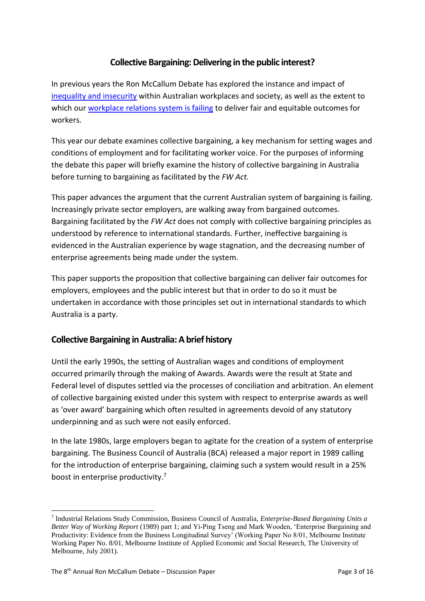# **Collective Bargaining: Delivering in the public interest?**

In previous years the Ron McCallum Debate has explored the instance and impact of [inequality and insecurity](http://www.aierights.com.au/wp-content/uploads/2017/01/Inequality-and-Insecurity-2016-McCallum-Debate-Discussion-Paper.pdf) within Australian workplaces and society, as well as the extent to which our [workplace relations system is failing](http://www.aierights.com.au/wp-content/uploads/2017/10/2017-Ron-McCallum-Debate-discussion-paper.pdf) to deliver fair and equitable outcomes for workers.

This year our debate examines collective bargaining, a key mechanism for setting wages and conditions of employment and for facilitating worker voice. For the purposes of informing the debate this paper will briefly examine the history of collective bargaining in Australia before turning to bargaining as facilitated by the *FW Act.*

This paper advances the argument that the current Australian system of bargaining is failing. Increasingly private sector employers, are walking away from bargained outcomes. Bargaining facilitated by the *FW Act* does not comply with collective bargaining principles as understood by reference to international standards. Further, ineffective bargaining is evidenced in the Australian experience by wage stagnation, and the decreasing number of enterprise agreements being made under the system.

This paper supports the proposition that collective bargaining can deliver fair outcomes for employers, employees and the public interest but that in order to do so it must be undertaken in accordance with those principles set out in international standards to which Australia is a party.

## **Collective Bargaining in Australia: A brief history**

Until the early 1990s, the setting of Australian wages and conditions of employment occurred primarily through the making of Awards. Awards were the result at State and Federal level of disputes settled via the processes of conciliation and arbitration. An element of collective bargaining existed under this system with respect to enterprise awards as well as 'over award' bargaining which often resulted in agreements devoid of any statutory underpinning and as such were not easily enforced.

In the late 1980s, large employers began to agitate for the creation of a system of enterprise bargaining. The Business Council of Australia (BCA) released a major report in 1989 calling for the introduction of enterprise bargaining, claiming such a system would result in a 25% boost in enterprise productivity.<sup>7</sup>

**.** 

<sup>7</sup> Industrial Relations Study Commission, Business Council of Australia, *Enterprise-Based Bargaining Units a Better Way of Working Report* (1989) part 1; and Yi-Ping Tseng and Mark Wooden, 'Enterprise Bargaining and Productivity: Evidence from the Business Longitudinal Survey' (Working Paper No 8/01, Melbourne Institute Working Paper No. 8/01, Melbourne Institute of Applied Economic and Social Research, The University of Melbourne, July 2001).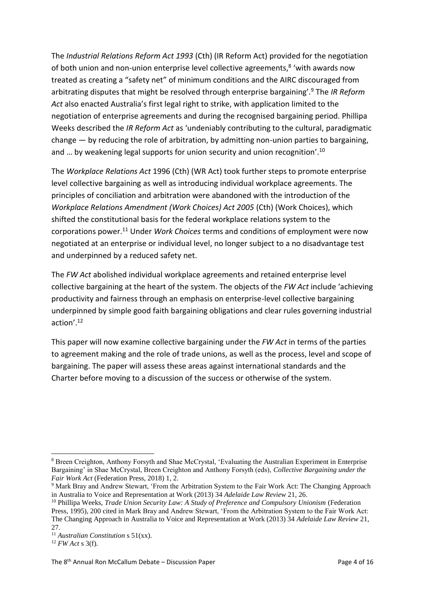The *Industrial Relations Reform Act 1993* (Cth) (IR Reform Act) provided for the negotiation of both union and non-union enterprise level collective agreements,<sup>8</sup> 'with awards now treated as creating a "safety net" of minimum conditions and the AIRC discouraged from arbitrating disputes that might be resolved through enterprise bargaining'.<sup>9</sup> The *IR Reform Act* also enacted Australia's first legal right to strike, with application limited to the negotiation of enterprise agreements and during the recognised bargaining period. Phillipa Weeks described the *IR Reform Act* as 'undeniably contributing to the cultural, paradigmatic change — by reducing the role of arbitration, by admitting non-union parties to bargaining, and ... by weakening legal supports for union security and union recognition'.<sup>10</sup>

The *Workplace Relations Act* 1996 (Cth) (WR Act) took further steps to promote enterprise level collective bargaining as well as introducing individual workplace agreements. The principles of conciliation and arbitration were abandoned with the introduction of the *Workplace Relations Amendment (Work Choices) Act 2005* (Cth) (Work Choices), which shifted the constitutional basis for the federal workplace relations system to the corporations power.<sup>11</sup> Under *Work Choices* terms and conditions of employment were now negotiated at an enterprise or individual level, no longer subject to a no disadvantage test and underpinned by a reduced safety net.

The *FW Act* abolished individual workplace agreements and retained enterprise level collective bargaining at the heart of the system. The objects of the *FW Act* include 'achieving productivity and fairness through an emphasis on enterprise-level collective bargaining underpinned by simple good faith bargaining obligations and clear rules governing industrial action'.<sup>12</sup>

This paper will now examine collective bargaining under the *FW Act* in terms of the parties to agreement making and the role of trade unions, as well as the process, level and scope of bargaining. The paper will assess these areas against international standards and the Charter before moving to a discussion of the success or otherwise of the system.

<sup>1</sup> <sup>8</sup> Breen Creighton, Anthony Forsyth and Shae McCrystal, 'Evaluating the Australian Experiment in Enterprise Bargaining' in Shae McCrystal, Breen Creighton and Anthony Forsyth (eds), *Collective Bargaining under the Fair Work Act* (Federation Press, 2018) 1, 2.

<sup>9</sup> Mark Bray and Andrew Stewart, 'From the Arbitration System to the Fair Work Act: The Changing Approach in Australia to Voice and Representation at Work (2013) 34 *Adelaide Law Review* 21, 26.

<sup>10</sup> Phillipa Weeks, *Trade Union Security Law: A Study of Preference and Compulsory Unionism* (Federation Press, 1995), 200 cited in Mark Bray and Andrew Stewart, 'From the Arbitration System to the Fair Work Act: The Changing Approach in Australia to Voice and Representation at Work (2013) 34 *Adelaide Law Review* 21, 27.

<sup>11</sup> *Australian Constitution* s 51(xx).

<sup>12</sup> *FW Act* s 3(f).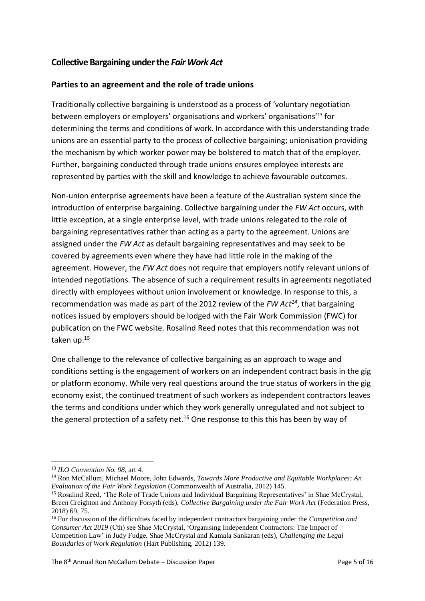## **Collective Bargaining under the** *Fair Work Act*

## **Parties to an agreement and the role of trade unions**

Traditionally collective bargaining is understood as a process of 'voluntary negotiation between employers or employers' organisations and workers' organisations'<sup>13</sup> for determining the terms and conditions of work. In accordance with this understanding trade unions are an essential party to the process of collective bargaining; unionisation providing the mechanism by which worker power may be bolstered to match that of the employer. Further, bargaining conducted through trade unions ensures employee interests are represented by parties with the skill and knowledge to achieve favourable outcomes.

Non-union enterprise agreements have been a feature of the Australian system since the introduction of enterprise bargaining. Collective bargaining under the *FW Act* occurs, with little exception, at a single enterprise level, with trade unions relegated to the role of bargaining representatives rather than acting as a party to the agreement. Unions are assigned under the *FW Act* as default bargaining representatives and may seek to be covered by agreements even where they have had little role in the making of the agreement. However, the *FW Act* does not require that employers notify relevant unions of intended negotiations. The absence of such a requirement results in agreements negotiated directly with employees without union involvement or knowledge. In response to this, a recommendation was made as part of the 2012 review of the *FW Act<sup>14</sup>*, that bargaining notices issued by employers should be lodged with the Fair Work Commission (FWC) for publication on the FWC website. Rosalind Reed notes that this recommendation was not taken up.<sup>15</sup>

One challenge to the relevance of collective bargaining as an approach to wage and conditions setting is the engagement of workers on an independent contract basis in the gig or platform economy. While very real questions around the true status of workers in the gig economy exist, the continued treatment of such workers as independent contractors leaves the terms and conditions under which they work generally unregulated and not subject to the general protection of a safety net.<sup>16</sup> One response to this this has been by way of

**<sup>.</sup>** <sup>13</sup> *ILO Convention No. 98*, art 4.

<sup>14</sup> Ron McCallum, Michael Moore, John Edwards, *Towards More Productive and Equitable Workplaces: An Evaluation of the Fair Work Legislation* (Commonwealth of Australia, 2012) 145.

<sup>&</sup>lt;sup>15</sup> Rosalind Reed, 'The Role of Trade Unions and Individual Bargaining Representatives' in Shae McCrystal, Breen Creighton and Anthony Forsyth (eds), *Collective Bargaining under the Fair Work Act* (Federation Press, 2018) 69, 75.

<sup>16</sup> For discussion of the difficulties faced by independent contractors bargaining under the *Competition and Consumer Act 2019* (Cth) see Shae McCrystal, 'Organising Independent Contractors: The Impact of Competition Law' in Judy Fudge, Shae McCrystal and Kamala Sankaran (eds), *Challenging the Legal Boundaries of Work Regulation* (Hart Publishing, 2012) 139.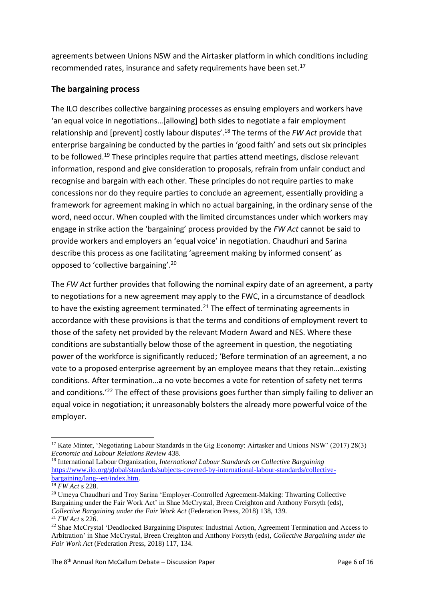agreements between Unions NSW and the Airtasker platform in which conditions including recommended rates, insurance and safety requirements have been set.<sup>17</sup>

## **The bargaining process**

The ILO describes collective bargaining processes as ensuing employers and workers have 'an equal voice in negotiations…[allowing] both sides to negotiate a fair employment relationship and [prevent] costly labour disputes'.<sup>18</sup> The terms of the *FW Act* provide that enterprise bargaining be conducted by the parties in 'good faith' and sets out six principles to be followed.<sup>19</sup> These principles require that parties attend meetings, disclose relevant information, respond and give consideration to proposals, refrain from unfair conduct and recognise and bargain with each other. These principles do not require parties to make concessions nor do they require parties to conclude an agreement, essentially providing a framework for agreement making in which no actual bargaining, in the ordinary sense of the word, need occur. When coupled with the limited circumstances under which workers may engage in strike action the 'bargaining' process provided by the *FW Act* cannot be said to provide workers and employers an 'equal voice' in negotiation. Chaudhuri and Sarina describe this process as one facilitating 'agreement making by informed consent' as opposed to 'collective bargaining'.<sup>20</sup>

The *FW Act* further provides that following the nominal expiry date of an agreement, a party to negotiations for a new agreement may apply to the FWC, in a circumstance of deadlock to have the existing agreement terminated.<sup>21</sup> The effect of terminating agreements in accordance with these provisions is that the terms and conditions of employment revert to those of the safety net provided by the relevant Modern Award and NES. Where these conditions are substantially below those of the agreement in question, the negotiating power of the workforce is significantly reduced; 'Before termination of an agreement, a no vote to a proposed enterprise agreement by an employee means that they retain…existing conditions. After termination…a no vote becomes a vote for retention of safety net terms and conditions.<sup>'22</sup> The effect of these provisions goes further than simply failing to deliver an equal voice in negotiation; it unreasonably bolsters the already more powerful voice of the employer.

**<sup>.</sup>** <sup>17</sup> Kate Minter, 'Negotiating Labour Standards in the Gig Economy: Airtasker and Unions NSW' (2017) 28(3) *Economic and Labour Relations Review* 438.

<sup>18</sup> International Labour Organization, *International Labour Standards on Collective Bargaining* [https://www.ilo.org/global/standards/subjects-covered-by-international-labour-standards/collective](https://www.ilo.org/global/standards/subjects-covered-by-international-labour-standards/collective-bargaining/lang--en/index.htm)[bargaining/lang--en/index.htm.](https://www.ilo.org/global/standards/subjects-covered-by-international-labour-standards/collective-bargaining/lang--en/index.htm)

<sup>19</sup> *FW Act* s 228.

<sup>&</sup>lt;sup>20</sup> Umeva Chaudhuri and Troy Sarina 'Employer-Controlled Agreement-Making: Thwarting Collective Bargaining under the Fair Work Act' in Shae McCrystal, Breen Creighton and Anthony Forsyth (eds), *Collective Bargaining under the Fair Work Act* (Federation Press, 2018) 138, 139. <sup>21</sup> *FW Act* s 226.

<sup>&</sup>lt;sup>22</sup> Shae McCrystal 'Deadlocked Bargaining Disputes: Industrial Action, Agreement Termination and Access to Arbitration' in Shae McCrystal, Breen Creighton and Anthony Forsyth (eds), *Collective Bargaining under the Fair Work Act* (Federation Press, 2018) 117, 134.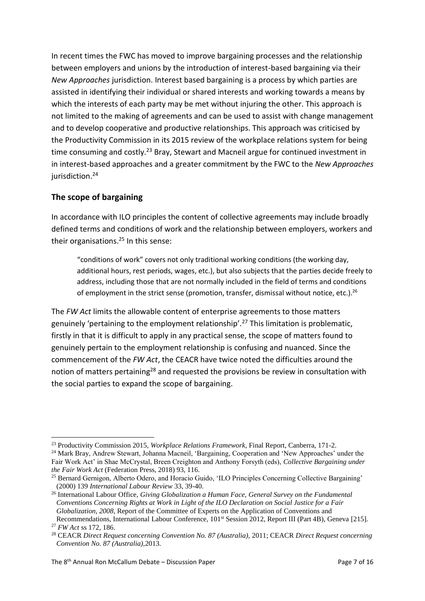In recent times the FWC has moved to improve bargaining processes and the relationship between employers and unions by the introduction of interest-based bargaining via their *New Approaches* jurisdiction. Interest based bargaining is a process by which parties are assisted in identifying their individual or shared interests and working towards a means by which the interests of each party may be met without injuring the other. This approach is not limited to the making of agreements and can be used to assist with change management and to develop cooperative and productive relationships. This approach was criticised by the Productivity Commission in its 2015 review of the workplace relations system for being time consuming and costly.<sup>23</sup> Bray, Stewart and Macneil argue for continued investment in in interest-based approaches and a greater commitment by the FWC to the *New Approaches* jurisdiction.<sup>24</sup>

## **The scope of bargaining**

In accordance with ILO principles the content of collective agreements may include broadly defined terms and conditions of work and the relationship between employers, workers and their organisations.<sup>25</sup> In this sense:

"conditions of work" covers not only traditional working conditions (the working day, additional hours, rest periods, wages, etc.), but also subjects that the parties decide freely to address, including those that are not normally included in the field of terms and conditions of employment in the strict sense (promotion, transfer, dismissal without notice, etc.).<sup>26</sup>

The *FW Act* limits the allowable content of enterprise agreements to those matters genuinely 'pertaining to the employment relationship'.<sup>27</sup> This limitation is problematic, firstly in that it is difficult to apply in any practical sense, the scope of matters found to genuinely pertain to the employment relationship is confusing and nuanced. Since the commencement of the *FW Act*, the CEACR have twice noted the difficulties around the notion of matters pertaining<sup>28</sup> and requested the provisions be review in consultation with the social parties to expand the scope of bargaining.

**<sup>.</sup>** <sup>23</sup> Productivity Commission 2015, *Workplace Relations Framework*, Final Report, Canberra, 171-2.

<sup>24</sup> Mark Bray, Andrew Stewart, Johanna Macneil, 'Bargaining, Cooperation and 'New Approaches' under the Fair Work Act' in Shae McCrystal, Breen Creighton and Anthony Forsyth (eds), *Collective Bargaining under the Fair Work Act* (Federation Press, 2018) 93, 116.

<sup>&</sup>lt;sup>25</sup> Bernard Gernigon, Alberto Odero, and Horacio Guido, 'ILO Principles Concerning Collective Bargaining' (2000) 139 *International Labour Review* 33, 39-40.

<sup>26</sup> International Labour Office, *Giving Globalization a Human Face, General Survey on the Fundamental Conventions Concerning Rights at Work in Light of the ILO Declaration on Social Justice for a Fair Globalization, 2008,* Report of the Committee of Experts on the Application of Conventions and

Recommendations, International Labour Conference, 101<sup>st</sup> Session 2012, Report III (Part 4B), Geneva [215]. <sup>27</sup> *FW Act* ss 172, 186.

<sup>28</sup> CEACR *Direct Request concerning Convention No. 87 (Australia),* 2011; CEACR *Direct Request concerning Convention No. 87 (Australia),*2013.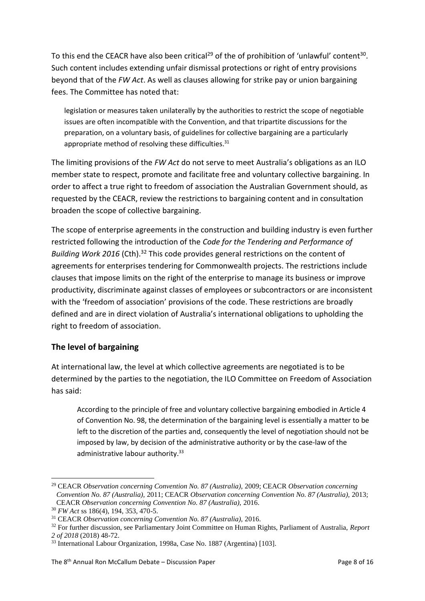To this end the CEACR have also been critical<sup>29</sup> of the of prohibition of 'unlawful' content<sup>30</sup>. Such content includes extending unfair dismissal protections or right of entry provisions beyond that of the *FW Act*. As well as clauses allowing for strike pay or union bargaining fees. The Committee has noted that:

legislation or measures taken unilaterally by the authorities to restrict the scope of negotiable issues are often incompatible with the Convention, and that tripartite discussions for the preparation, on a voluntary basis, of guidelines for collective bargaining are a particularly appropriate method of resolving these difficulties.<sup>31</sup>

The limiting provisions of the *FW Act* do not serve to meet Australia's obligations as an ILO member state to respect, promote and facilitate free and voluntary collective bargaining. In order to affect a true right to freedom of association the Australian Government should, as requested by the CEACR, review the restrictions to bargaining content and in consultation broaden the scope of collective bargaining.

The scope of enterprise agreements in the construction and building industry is even further restricted following the introduction of the *Code for the Tendering and Performance of Building Work 2016* (Cth).<sup>32</sup> This code provides general restrictions on the content of agreements for enterprises tendering for Commonwealth projects. The restrictions include clauses that impose limits on the right of the enterprise to manage its business or improve productivity, discriminate against classes of employees or subcontractors or are inconsistent with the 'freedom of association' provisions of the code. These restrictions are broadly defined and are in direct violation of Australia's international obligations to upholding the right to freedom of association.

### **The level of bargaining**

At international law, the level at which collective agreements are negotiated is to be determined by the parties to the negotiation, the ILO Committee on Freedom of Association has said:

According to the principle of free and voluntary collective bargaining embodied in Article 4 of Convention No. 98, the determination of the bargaining level is essentially a matter to be left to the discretion of the parties and, consequently the level of negotiation should not be imposed by law, by decision of the administrative authority or by the case-law of the administrative labour authority.<sup>33</sup>

 $\overline{a}$ <sup>29</sup> CEACR *Observation concerning Convention No. 87 (Australia),* 2009; CEACR *Observation concerning Convention No. 87 (Australia),* 2011; CEACR *Observation concerning Convention No. 87 (Australia),* 2013; CEACR *Observation concerning Convention No. 87 (Australia),* 2016.

<sup>30</sup> *FW Act* ss 186(4), 194, 353, 470-5.

<sup>31</sup> CEACR *Observation concerning Convention No. 87 (Australia),* 2016.

<sup>32</sup> For further discussion, see Parliamentary Joint Committee on Human Rights, Parliament of Australia, *Report 2 of 2018* (2018) 48-72.

<sup>33</sup> International Labour Organization, 1998a, Case No. 1887 (Argentina) [103].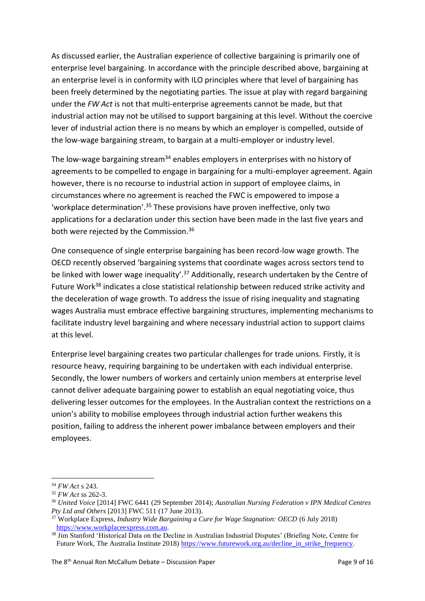As discussed earlier, the Australian experience of collective bargaining is primarily one of enterprise level bargaining. In accordance with the principle described above, bargaining at an enterprise level is in conformity with ILO principles where that level of bargaining has been freely determined by the negotiating parties. The issue at play with regard bargaining under the *FW Act* is not that multi-enterprise agreements cannot be made, but that industrial action may not be utilised to support bargaining at this level. Without the coercive lever of industrial action there is no means by which an employer is compelled, outside of the low-wage bargaining stream, to bargain at a multi-employer or industry level.

The low-wage bargaining stream<sup>34</sup> enables employers in enterprises with no history of agreements to be compelled to engage in bargaining for a multi-employer agreement. Again however, there is no recourse to industrial action in support of employee claims, in circumstances where no agreement is reached the FWC is empowered to impose a 'workplace determination'.<sup>35</sup> These provisions have proven ineffective, only two applications for a declaration under this section have been made in the last five years and both were rejected by the Commission.<sup>36</sup>

One consequence of single enterprise bargaining has been record-low wage growth. The OECD recently observed 'bargaining systems that coordinate wages across sectors tend to be linked with lower wage inequality'.<sup>37</sup> Additionally, research undertaken by the Centre of Future Work<sup>38</sup> indicates a close statistical relationship between reduced strike activity and the deceleration of wage growth. To address the issue of rising inequality and stagnating wages Australia must embrace effective bargaining structures, implementing mechanisms to facilitate industry level bargaining and where necessary industrial action to support claims at this level.

Enterprise level bargaining creates two particular challenges for trade unions. Firstly, it is resource heavy, requiring bargaining to be undertaken with each individual enterprise. Secondly, the lower numbers of workers and certainly union members at enterprise level cannot deliver adequate bargaining power to establish an equal negotiating voice, thus delivering lesser outcomes for the employees. In the Australian context the restrictions on a union's ability to mobilise employees through industrial action further weakens this position, failing to address the inherent power imbalance between employers and their employees.

 $\overline{a}$ <sup>34</sup> *FW Act* s 243.

<sup>35</sup> *FW Act* ss 262-3.

<sup>36</sup> *United Voice* [2014] FWC 6441 (29 September 2014); *Australian Nursing Federation v IPN Medical Centres Pty Ltd and Others* [2013] FWC 511 (17 June 2013).

<sup>&</sup>lt;sup>37</sup> Workplace Express, *Industry Wide Bargaining a Cure for Wage Stagnation: OECD* (6 July 2018) [https://www.workplaceexpress.com.au.](https://www.workplaceexpress.com.au/)

<sup>&</sup>lt;sup>38</sup> Jim Stanford 'Historical Data on the Decline in Australian Industrial Disputes' (Briefing Note, Centre for Future Work, The Australia Institute 2018) [https://www.futurework.org.au/decline\\_in\\_strike\\_frequency.](https://www.futurework.org.au/decline_in_strike_frequency)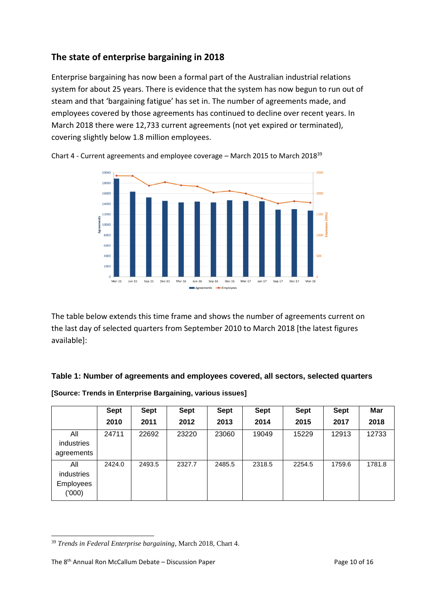# **The state of enterprise bargaining in 2018**

Enterprise bargaining has now been a formal part of the Australian industrial relations system for about 25 years. There is evidence that the system has now begun to run out of steam and that 'bargaining fatigue' has set in. The number of agreements made, and employees covered by those agreements has continued to decline over recent years. In March 2018 there were 12,733 current agreements (not yet expired or terminated), covering slightly below 1.8 million employees.



Chart 4 - Current agreements and employee coverage – March 2015 to March 2018<sup>39</sup>

The table below extends this time frame and shows the number of agreements current on the last day of selected quarters from September 2010 to March 2018 [the latest figures available]:

### **Table 1: Number of agreements and employees covered, all sectors, selected quarters**

|                                                | <b>Sept</b> | Sept   | <b>Sept</b> | <b>Sept</b> | <b>Sept</b> | <b>Sept</b> | <b>Sept</b> | Mar    |
|------------------------------------------------|-------------|--------|-------------|-------------|-------------|-------------|-------------|--------|
|                                                | 2010        | 2011   | 2012        | 2013        | 2014        | 2015        | 2017        | 2018   |
| All<br>industries<br>agreements                | 24711       | 22692  | 23220       | 23060       | 19049       | 15229       | 12913       | 12733  |
| All<br>industries<br><b>Employees</b><br>(000) | 2424.0      | 2493.5 | 2327.7      | 2485.5      | 2318.5      | 2254.5      | 1759.6      | 1781.8 |

**[Source: Trends in Enterprise Bargaining, various issues]** 

<sup>1</sup> <sup>39</sup> *Trends in Federal Enterprise bargaining*, March 2018, Chart 4.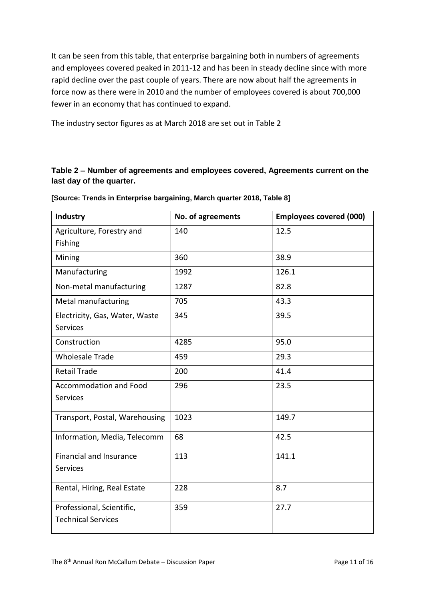It can be seen from this table, that enterprise bargaining both in numbers of agreements and employees covered peaked in 2011-12 and has been in steady decline since with more rapid decline over the past couple of years. There are now about half the agreements in force now as there were in 2010 and the number of employees covered is about 700,000 fewer in an economy that has continued to expand.

The industry sector figures as at March 2018 are set out in Table 2

## **Table 2 – Number of agreements and employees covered, Agreements current on the last day of the quarter.**

| <b>Industry</b>                | No. of agreements | <b>Employees covered (000)</b> |
|--------------------------------|-------------------|--------------------------------|
| Agriculture, Forestry and      | 140               | 12.5                           |
| Fishing                        |                   |                                |
| Mining                         | 360               | 38.9                           |
| Manufacturing                  | 1992              | 126.1                          |
| Non-metal manufacturing        | 1287              | 82.8                           |
| Metal manufacturing            | 705               | 43.3                           |
| Electricity, Gas, Water, Waste | 345               | 39.5                           |
| <b>Services</b>                |                   |                                |
| Construction                   | 4285              | 95.0                           |
| <b>Wholesale Trade</b>         | 459               | 29.3                           |
| <b>Retail Trade</b>            | 200               | 41.4                           |
| Accommodation and Food         | 296               | 23.5                           |
| <b>Services</b>                |                   |                                |
| Transport, Postal, Warehousing | 1023              | 149.7                          |
| Information, Media, Telecomm   | 68                | 42.5                           |
| <b>Financial and Insurance</b> | 113               | 141.1                          |
| <b>Services</b>                |                   |                                |
| Rental, Hiring, Real Estate    | 228               | 8.7                            |
| Professional, Scientific,      | 359               | 27.7                           |
| <b>Technical Services</b>      |                   |                                |

**[Source: Trends in Enterprise bargaining, March quarter 2018, Table 8]**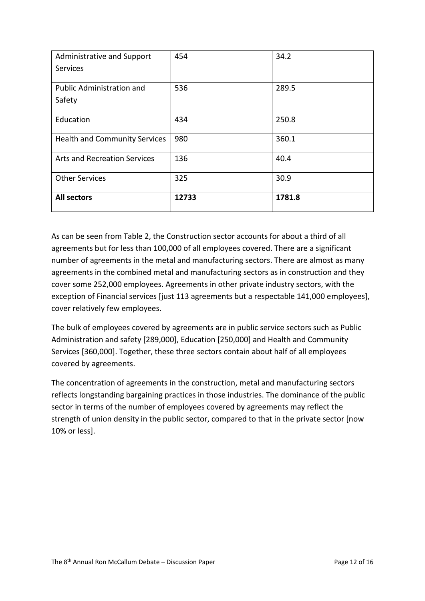| Administrative and Support           | 454   | 34.2   |
|--------------------------------------|-------|--------|
| <b>Services</b>                      |       |        |
|                                      |       |        |
| <b>Public Administration and</b>     | 536   | 289.5  |
| Safety                               |       |        |
|                                      |       |        |
| Education                            | 434   | 250.8  |
|                                      |       |        |
| <b>Health and Community Services</b> | 980   | 360.1  |
| <b>Arts and Recreation Services</b>  | 136   |        |
|                                      |       | 40.4   |
| <b>Other Services</b>                | 325   | 30.9   |
|                                      |       |        |
| <b>All sectors</b>                   | 12733 | 1781.8 |
|                                      |       |        |

As can be seen from Table 2, the Construction sector accounts for about a third of all agreements but for less than 100,000 of all employees covered. There are a significant number of agreements in the metal and manufacturing sectors. There are almost as many agreements in the combined metal and manufacturing sectors as in construction and they cover some 252,000 employees. Agreements in other private industry sectors, with the exception of Financial services [just 113 agreements but a respectable 141,000 employees], cover relatively few employees.

The bulk of employees covered by agreements are in public service sectors such as Public Administration and safety [289,000], Education [250,000] and Health and Community Services [360,000]. Together, these three sectors contain about half of all employees covered by agreements.

The concentration of agreements in the construction, metal and manufacturing sectors reflects longstanding bargaining practices in those industries. The dominance of the public sector in terms of the number of employees covered by agreements may reflect the strength of union density in the public sector, compared to that in the private sector [now 10% or less].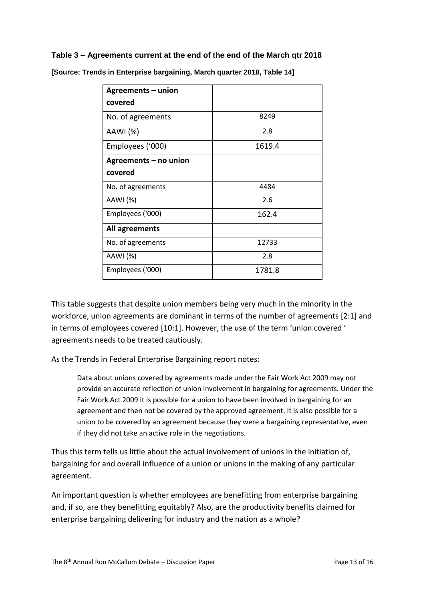#### **Table 3 – Agreements current at the end of the end of the March qtr 2018**

| Agreements - union    |        |  |  |
|-----------------------|--------|--|--|
| covered               |        |  |  |
| No. of agreements     | 8249   |  |  |
| AAWI (%)              | 2.8    |  |  |
| Employees ('000)      | 1619.4 |  |  |
| Agreements – no union |        |  |  |
| covered               |        |  |  |
| No. of agreements     | 4484   |  |  |
| AAWI (%)              | 2.6    |  |  |
| Employees ('000)      | 162.4  |  |  |
| All agreements        |        |  |  |
| No. of agreements     | 12733  |  |  |
| AAWI (%)              | 2.8    |  |  |
| Employees ('000)      | 1781.8 |  |  |

**[Source: Trends in Enterprise bargaining, March quarter 2018, Table 14]**

This table suggests that despite union members being very much in the minority in the workforce, union agreements are dominant in terms of the number of agreements [2:1] and in terms of employees covered [10:1]. However, the use of the term 'union covered ' agreements needs to be treated cautiously.

As the Trends in Federal Enterprise Bargaining report notes:

Data about unions covered by agreements made under the Fair Work Act 2009 may not provide an accurate reflection of union involvement in bargaining for agreements. Under the Fair Work Act 2009 it is possible for a union to have been involved in bargaining for an agreement and then not be covered by the approved agreement. It is also possible for a union to be covered by an agreement because they were a bargaining representative, even if they did not take an active role in the negotiations.

Thus this term tells us little about the actual involvement of unions in the initiation of, bargaining for and overall influence of a union or unions in the making of any particular agreement.

An important question is whether employees are benefitting from enterprise bargaining and, if so, are they benefitting equitably? Also, are the productivity benefits claimed for enterprise bargaining delivering for industry and the nation as a whole?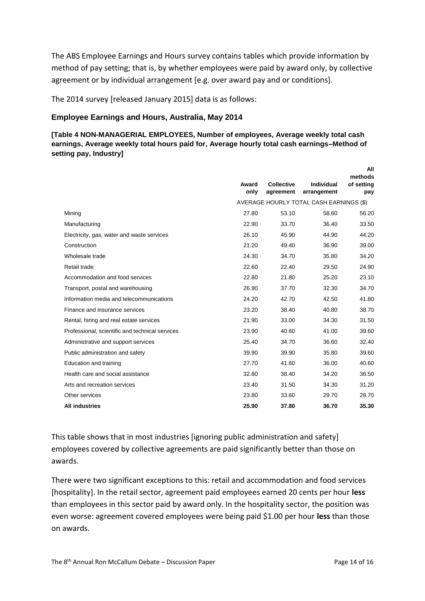The ABS Employee Earnings and Hours survey contains tables which provide information by method of pay setting; that is, by whether employees were paid by award only, by collective agreement or by individual arrangement [e.g. over award pay and or conditions].

The 2014 survey [released January 2015] data is as follows:

#### **Employee Earnings and Hours, Australia, May 2014**

**[Table 4 NON-MANAGERIAL EMPLOYEES, Number of employees, Average weekly total cash earnings, Average weekly total hours paid for, Average hourly total cash earnings–Method of setting pay, Industry]**

|                                                 | Award<br>only | <b>Collective</b><br>agreement | Individual<br>arrangement               | All<br>methods<br>of setting<br>pay |
|-------------------------------------------------|---------------|--------------------------------|-----------------------------------------|-------------------------------------|
|                                                 |               |                                | AVERAGE HOURLY TOTAL CASH EARNINGS (\$) |                                     |
| Mining                                          | 27.80         | 53.10                          | 58.60                                   | 56.20                               |
| Manufacturing                                   | 22.90         | 33.70                          | 36.40                                   | 33.50                               |
| Electricity, gas, water and waste services      | 26.10         | 45.90                          | 44.90                                   | 44.20                               |
| Construction                                    | 21.20         | 49.40                          | 36.90                                   | 39.00                               |
| Wholesale trade                                 | 24.30         | 34.70                          | 35.80                                   | 34.20                               |
| Retail trade                                    | 22.60         | 22.40                          | 29.50                                   | 24.90                               |
| Accommodation and food services                 | 22.80         | 21.80                          | 25.20                                   | 23.10                               |
| Transport, postal and warehousing               | 26.90         | 37.70                          | 32.30                                   | 34.70                               |
| Information media and telecommunications        | 24.20         | 42.70                          | 42.50                                   | 41.80                               |
| Finance and insurance services                  | 23.20         | 38.40                          | 40.80                                   | 38.70                               |
| Rental, hiring and real estate services         | 21.90         | 33.00                          | 34.30                                   | 31.50                               |
| Professional, scientific and technical services | 23.90         | 40.60                          | 41.00                                   | 39.60                               |
| Administrative and support services             | 25.40         | 34.70                          | 36.60                                   | 32.40                               |
| Public administration and safety                | 39.90         | 39.90                          | 35.80                                   | 39.60                               |
| Education and training                          | 27.70         | 41.60                          | 36.00                                   | 40.60                               |
| Health care and social assistance               | 32.80         | 38.40                          | 34.20                                   | 36.50                               |
| Arts and recreation services                    | 23.40         | 31.50                          | 34.30                                   | 31.20                               |
| Other services                                  | 23.80         | 33.60                          | 29.70                                   | 28.70                               |
| <b>All industries</b>                           | 25.90         | 37.80                          | 36.70                                   | 35.30                               |
|                                                 |               |                                |                                         |                                     |

This table shows that in most industries [ignoring public administration and safety] employees covered by collective agreements are paid significantly better than those on awards.

There were two significant exceptions to this: retail and accommodation and food services [hospitality]. In the retail sector, agreement paid employees earned 20 cents per hour **less** than employees in this sector paid by award only. In the hospitality sector, the position was even worse: agreement covered employees were being paid \$1.00 per hour **less** than those on awards.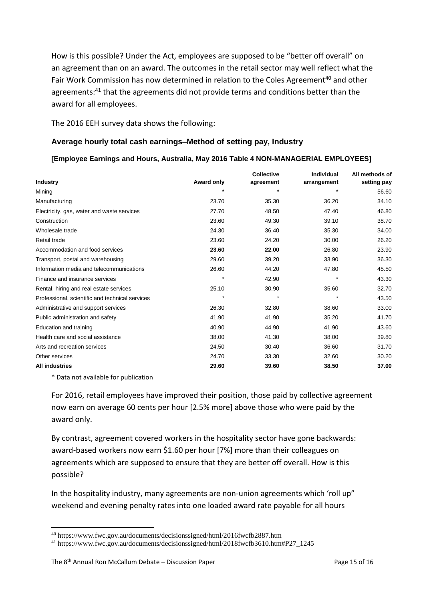How is this possible? Under the Act, employees are supposed to be "better off overall" on an agreement than on an award. The outcomes in the retail sector may well reflect what the Fair Work Commission has now determined in relation to the Coles Agreement<sup>40</sup> and other agreements:<sup>41</sup> that the agreements did not provide terms and conditions better than the award for all employees.

The 2016 EEH survey data shows the following:

#### **Average hourly total cash earnings–Method of setting pay, Industry**

#### **[Employee Earnings and Hours, Australia, May 2016 Table 4 NON-MANAGERIAL EMPLOYEES]**

|                                                 |            | <b>Collective</b> | Individual  | All methods of |
|-------------------------------------------------|------------|-------------------|-------------|----------------|
| <b>Industry</b>                                 | Award only | agreement         | arrangement | setting pay    |
| Mining                                          |            |                   |             | 56.60          |
| Manufacturing                                   | 23.70      | 35.30             | 36.20       | 34.10          |
| Electricity, gas, water and waste services      | 27.70      | 48.50             | 47.40       | 46.80          |
| Construction                                    | 23.60      | 49.30             | 39.10       | 38.70          |
| Wholesale trade                                 | 24.30      | 36.40             | 35.30       | 34.00          |
| Retail trade                                    | 23.60      | 24.20             | 30.00       | 26.20          |
| Accommodation and food services                 | 23.60      | 22.00             | 26.80       | 23.90          |
| Transport, postal and warehousing               | 29.60      | 39.20             | 33.90       | 36.30          |
| Information media and telecommunications        | 26.60      | 44.20             | 47.80       | 45.50          |
| Finance and insurance services                  | $\star$    | 42.90             | $\star$     | 43.30          |
| Rental, hiring and real estate services         | 25.10      | 30.90             | 35.60       | 32.70          |
| Professional, scientific and technical services |            |                   | $\star$     | 43.50          |
| Administrative and support services             | 26.30      | 32.80             | 38.60       | 33.00          |
| Public administration and safety                | 41.90      | 41.90             | 35.20       | 41.70          |
| Education and training                          | 40.90      | 44.90             | 41.90       | 43.60          |
| Health care and social assistance               | 38.00      | 41.30             | 38.00       | 39.80          |
| Arts and recreation services                    | 24.50      | 30.40             | 36.60       | 31.70          |
| Other services                                  | 24.70      | 33.30             | 32.60       | 30.20          |
| <b>All industries</b>                           | 29.60      | 39.60             | 38.50       | 37.00          |

\* Data not available for publication

 $\overline{a}$ 

For 2016, retail employees have improved their position, those paid by collective agreement now earn on average 60 cents per hour [2.5% more] above those who were paid by the award only.

By contrast, agreement covered workers in the hospitality sector have gone backwards: award-based workers now earn \$1.60 per hour [7%] more than their colleagues on agreements which are supposed to ensure that they are better off overall. How is this possible?

In the hospitality industry, many agreements are non-union agreements which 'roll up" weekend and evening penalty rates into one loaded award rate payable for all hours

<sup>40</sup> https://www.fwc.gov.au/documents/decisionssigned/html/2016fwcfb2887.htm

<sup>&</sup>lt;sup>41</sup> https://www.fwc.gov.au/documents/decisionssigned/html/2018fwcfb3610.htm#P27\_1245